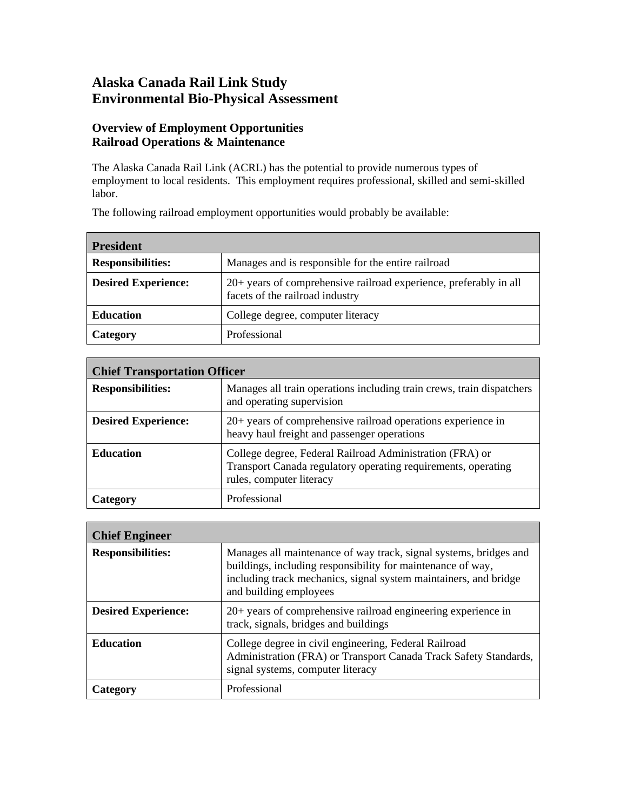## **Alaska Canada Rail Link Study Environmental Bio-Physical Assessment**

## **Overview of Employment Opportunities Railroad Operations & Maintenance**

The Alaska Canada Rail Link (ACRL) has the potential to provide numerous types of employment to local residents. This employment requires professional, skilled and semi-skilled labor.

The following railroad employment opportunities would probably be available:

| <b>President</b>           |                                                                                                      |
|----------------------------|------------------------------------------------------------------------------------------------------|
| <b>Responsibilities:</b>   | Manages and is responsible for the entire railroad                                                   |
| <b>Desired Experience:</b> | 20+ years of comprehensive railroad experience, preferably in all<br>facets of the railroad industry |
| <b>Education</b>           | College degree, computer literacy                                                                    |
| Category                   | Professional                                                                                         |

| <b>Chief Transportation Officer</b> |                                                                                                                                                       |
|-------------------------------------|-------------------------------------------------------------------------------------------------------------------------------------------------------|
| <b>Responsibilities:</b>            | Manages all train operations including train crews, train dispatchers<br>and operating supervision                                                    |
| <b>Desired Experience:</b>          | $20+$ years of comprehensive railroad operations experience in<br>heavy haul freight and passenger operations                                         |
| <b>Education</b>                    | College degree, Federal Railroad Administration (FRA) or<br>Transport Canada regulatory operating requirements, operating<br>rules, computer literacy |
| Category                            | Professional                                                                                                                                          |

| <b>Chief Engineer</b>      |                                                                                                                                                                                                                                |
|----------------------------|--------------------------------------------------------------------------------------------------------------------------------------------------------------------------------------------------------------------------------|
| <b>Responsibilities:</b>   | Manages all maintenance of way track, signal systems, bridges and<br>buildings, including responsibility for maintenance of way,<br>including track mechanics, signal system maintainers, and bridge<br>and building employees |
| <b>Desired Experience:</b> | $20+$ years of comprehensive railroad engineering experience in<br>track, signals, bridges and buildings                                                                                                                       |
| <b>Education</b>           | College degree in civil engineering, Federal Railroad<br>Administration (FRA) or Transport Canada Track Safety Standards,<br>signal systems, computer literacy                                                                 |
| <b>Category</b>            | Professional                                                                                                                                                                                                                   |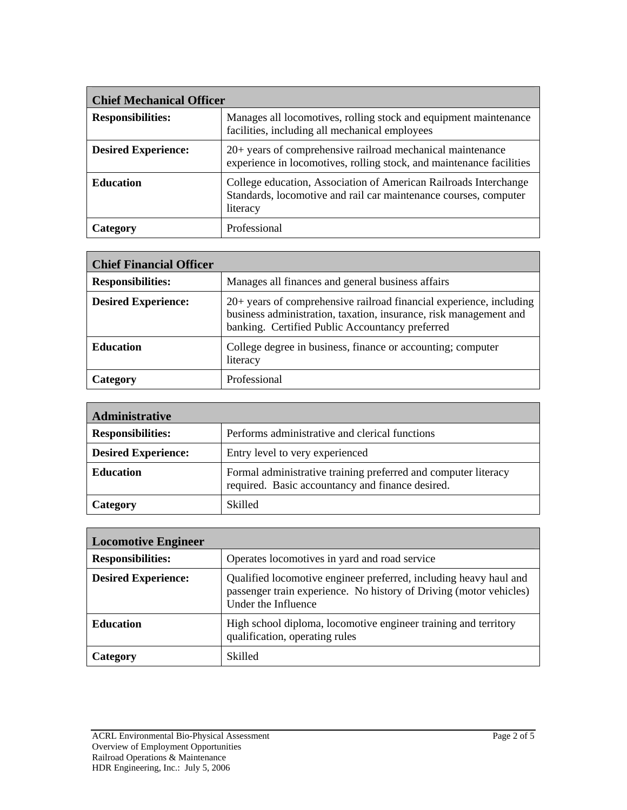| <b>Chief Mechanical Officer</b> |                                                                                                                                                  |
|---------------------------------|--------------------------------------------------------------------------------------------------------------------------------------------------|
| <b>Responsibilities:</b>        | Manages all locomotives, rolling stock and equipment maintenance<br>facilities, including all mechanical employees                               |
| <b>Desired Experience:</b>      | 20+ years of comprehensive railroad mechanical maintenance<br>experience in locomotives, rolling stock, and maintenance facilities               |
| <b>Education</b>                | College education, Association of American Railroads Interchange<br>Standards, locomotive and rail car maintenance courses, computer<br>literacy |
| Category                        | Professional                                                                                                                                     |

| <b>Chief Financial Officer</b> |                                                                                                                                                                                             |
|--------------------------------|---------------------------------------------------------------------------------------------------------------------------------------------------------------------------------------------|
| <b>Responsibilities:</b>       | Manages all finances and general business affairs                                                                                                                                           |
| <b>Desired Experience:</b>     | 20+ years of comprehensive railroad financial experience, including<br>business administration, taxation, insurance, risk management and<br>banking. Certified Public Accountancy preferred |
| <b>Education</b>               | College degree in business, finance or accounting; computer<br>literacy                                                                                                                     |
| Category                       | Professional                                                                                                                                                                                |

| <b>Administrative</b>      |                                                                                                                    |
|----------------------------|--------------------------------------------------------------------------------------------------------------------|
| <b>Responsibilities:</b>   | Performs administrative and clerical functions                                                                     |
| <b>Desired Experience:</b> | Entry level to very experienced                                                                                    |
| <b>Education</b>           | Formal administrative training preferred and computer literacy<br>required. Basic accountancy and finance desired. |
| Category                   | Skilled                                                                                                            |

| <b>Locomotive Engineer</b> |                                                                                                                                                                |
|----------------------------|----------------------------------------------------------------------------------------------------------------------------------------------------------------|
| <b>Responsibilities:</b>   | Operates locomotives in yard and road service                                                                                                                  |
| <b>Desired Experience:</b> | Qualified locomotive engineer preferred, including heavy haul and<br>passenger train experience. No history of Driving (motor vehicles)<br>Under the Influence |
| <b>Education</b>           | High school diploma, locomotive engineer training and territory<br>qualification, operating rules                                                              |
| Category                   | <b>Skilled</b>                                                                                                                                                 |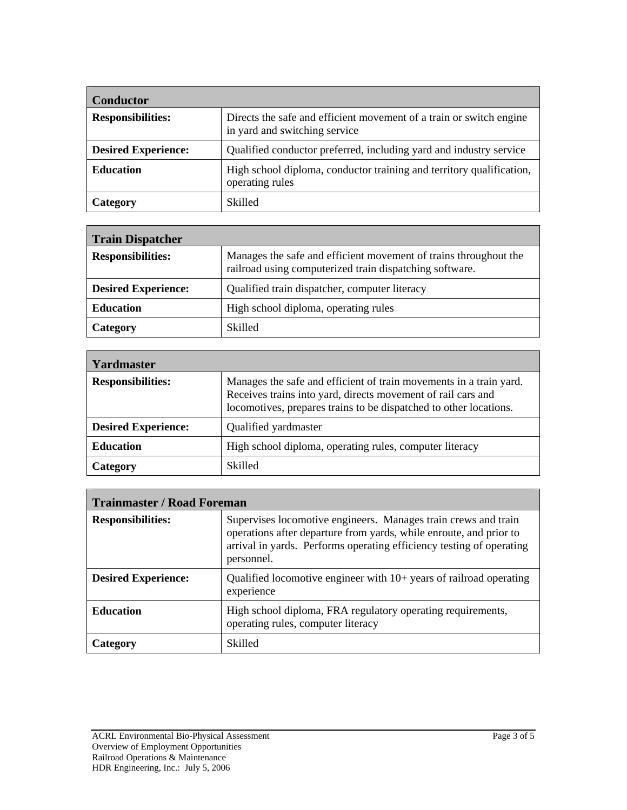| <b>Conductor</b>           |                                                                                                      |
|----------------------------|------------------------------------------------------------------------------------------------------|
| <b>Responsibilities:</b>   | Directs the safe and efficient movement of a train or switch engine<br>in yard and switching service |
| <b>Desired Experience:</b> | Qualified conductor preferred, including yard and industry service                                   |
| <b>Education</b>           | High school diploma, conductor training and territory qualification,<br>operating rules              |
| Category                   | <b>Skilled</b>                                                                                       |

| <b>Train Dispatcher</b>    |                                                                                                                             |
|----------------------------|-----------------------------------------------------------------------------------------------------------------------------|
| <b>Responsibilities:</b>   | Manages the safe and efficient movement of trains throughout the<br>railroad using computerized train dispatching software. |
| <b>Desired Experience:</b> | Qualified train dispatcher, computer literacy                                                                               |
| <b>Education</b>           | High school diploma, operating rules                                                                                        |
| Category                   | Skilled                                                                                                                     |

| <b>Yardmaster</b>          |                                                                                                                                                                                                         |
|----------------------------|---------------------------------------------------------------------------------------------------------------------------------------------------------------------------------------------------------|
| <b>Responsibilities:</b>   | Manages the safe and efficient of train movements in a train yard.<br>Receives trains into yard, directs movement of rail cars and<br>locomotives, prepares trains to be dispatched to other locations. |
| <b>Desired Experience:</b> | Qualified yardmaster                                                                                                                                                                                    |
| <b>Education</b>           | High school diploma, operating rules, computer literacy                                                                                                                                                 |
| Category                   | Skilled                                                                                                                                                                                                 |

| <b>Trainmaster / Road Foreman</b> |                                                                                                                                                                                                                            |
|-----------------------------------|----------------------------------------------------------------------------------------------------------------------------------------------------------------------------------------------------------------------------|
| <b>Responsibilities:</b>          | Supervises locomotive engineers. Manages train crews and train<br>operations after departure from yards, while enroute, and prior to<br>arrival in yards. Performs operating efficiency testing of operating<br>personnel. |
| <b>Desired Experience:</b>        | Qualified locomotive engineer with $10+$ years of railroad operating<br>experience                                                                                                                                         |
| <b>Education</b>                  | High school diploma, FRA regulatory operating requirements,<br>operating rules, computer literacy                                                                                                                          |
| Category                          | <b>Skilled</b>                                                                                                                                                                                                             |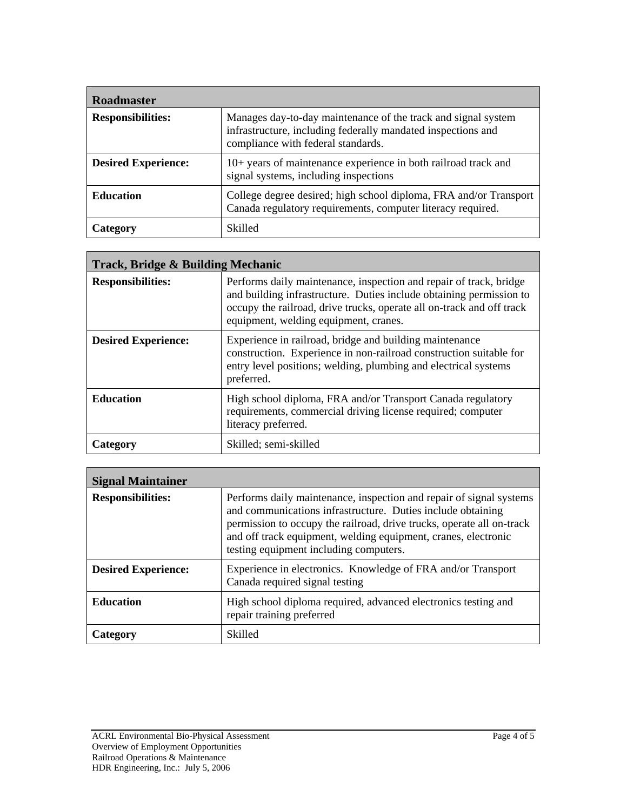| <b>Roadmaster</b>          |                                                                                                                                                                     |
|----------------------------|---------------------------------------------------------------------------------------------------------------------------------------------------------------------|
| <b>Responsibilities:</b>   | Manages day-to-day maintenance of the track and signal system<br>infrastructure, including federally mandated inspections and<br>compliance with federal standards. |
| <b>Desired Experience:</b> | 10+ years of maintenance experience in both railroad track and<br>signal systems, including inspections                                                             |
| <b>Education</b>           | College degree desired; high school diploma, FRA and/or Transport<br>Canada regulatory requirements, computer literacy required.                                    |
| Category                   | <b>Skilled</b>                                                                                                                                                      |

| Track, Bridge & Building Mechanic |                                                                                                                                                                                                                                                             |  |
|-----------------------------------|-------------------------------------------------------------------------------------------------------------------------------------------------------------------------------------------------------------------------------------------------------------|--|
| <b>Responsibilities:</b>          | Performs daily maintenance, inspection and repair of track, bridge<br>and building infrastructure. Duties include obtaining permission to<br>occupy the railroad, drive trucks, operate all on-track and off track<br>equipment, welding equipment, cranes. |  |
| <b>Desired Experience:</b>        | Experience in railroad, bridge and building maintenance<br>construction. Experience in non-railroad construction suitable for<br>entry level positions; welding, plumbing and electrical systems<br>preferred.                                              |  |
| <b>Education</b>                  | High school diploma, FRA and/or Transport Canada regulatory<br>requirements, commercial driving license required; computer<br>literacy preferred.                                                                                                           |  |
| Category                          | Skilled; semi-skilled                                                                                                                                                                                                                                       |  |

| <b>Signal Maintainer</b>   |                                                                                                                                                                                                                                                                                                                         |
|----------------------------|-------------------------------------------------------------------------------------------------------------------------------------------------------------------------------------------------------------------------------------------------------------------------------------------------------------------------|
| <b>Responsibilities:</b>   | Performs daily maintenance, inspection and repair of signal systems<br>and communications infrastructure. Duties include obtaining<br>permission to occupy the railroad, drive trucks, operate all on-track<br>and off track equipment, welding equipment, cranes, electronic<br>testing equipment including computers. |
| <b>Desired Experience:</b> | Experience in electronics. Knowledge of FRA and/or Transport<br>Canada required signal testing                                                                                                                                                                                                                          |
| <b>Education</b>           | High school diploma required, advanced electronics testing and<br>repair training preferred                                                                                                                                                                                                                             |
| Category                   | <b>Skilled</b>                                                                                                                                                                                                                                                                                                          |